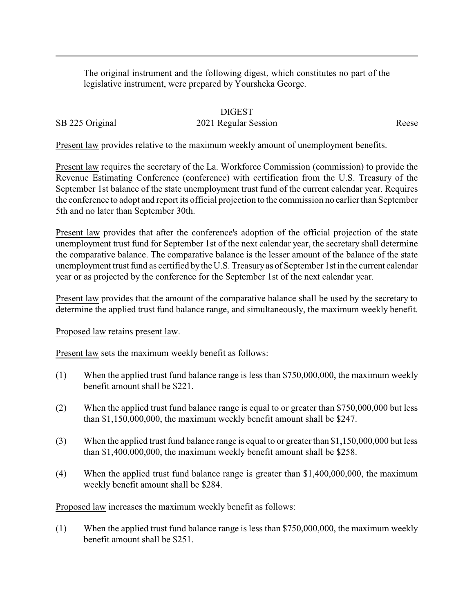The original instrument and the following digest, which constitutes no part of the legislative instrument, were prepared by Yoursheka George.

## DIGEST

## SB 225 Original 2021 Regular Session Reese

Present law provides relative to the maximum weekly amount of unemployment benefits.

Present law requires the secretary of the La. Workforce Commission (commission) to provide the Revenue Estimating Conference (conference) with certification from the U.S. Treasury of the September 1st balance of the state unemployment trust fund of the current calendar year. Requires the conference to adopt and report its official projection to the commission no earlier than September 5th and no later than September 30th.

Present law provides that after the conference's adoption of the official projection of the state unemployment trust fund for September 1st of the next calendar year, the secretary shall determine the comparative balance. The comparative balance is the lesser amount of the balance of the state unemployment trust fund as certified bythe U.S. Treasuryas of September 1st in the current calendar year or as projected by the conference for the September 1st of the next calendar year.

Present law provides that the amount of the comparative balance shall be used by the secretary to determine the applied trust fund balance range, and simultaneously, the maximum weekly benefit.

Proposed law retains present law.

Present law sets the maximum weekly benefit as follows:

- (1) When the applied trust fund balance range is less than \$750,000,000, the maximum weekly benefit amount shall be \$221.
- (2) When the applied trust fund balance range is equal to or greater than \$750,000,000 but less than \$1,150,000,000, the maximum weekly benefit amount shall be \$247.
- (3) When the applied trust fund balance range is equal to or greater than \$1,150,000,000 but less than \$1,400,000,000, the maximum weekly benefit amount shall be \$258.
- (4) When the applied trust fund balance range is greater than \$1,400,000,000, the maximum weekly benefit amount shall be \$284.

Proposed law increases the maximum weekly benefit as follows:

(1) When the applied trust fund balance range is less than \$750,000,000, the maximum weekly benefit amount shall be \$251.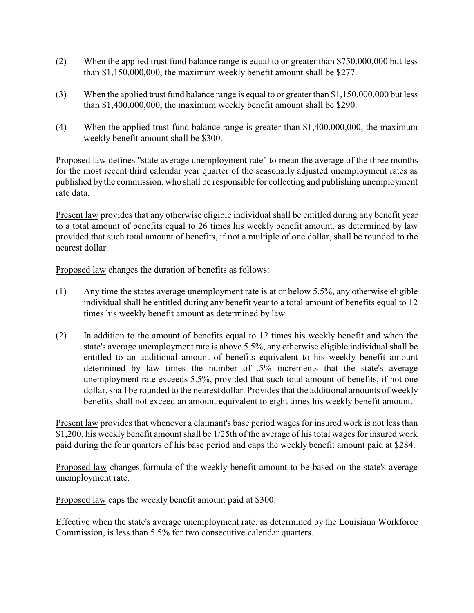- (2) When the applied trust fund balance range is equal to or greater than \$750,000,000 but less than \$1,150,000,000, the maximum weekly benefit amount shall be \$277.
- (3) When the applied trust fund balance range is equal to or greater than \$1,150,000,000 but less than \$1,400,000,000, the maximum weekly benefit amount shall be \$290.
- (4) When the applied trust fund balance range is greater than \$1,400,000,000, the maximum weekly benefit amount shall be \$300.

Proposed law defines "state average unemployment rate" to mean the average of the three months for the most recent third calendar year quarter of the seasonally adjusted unemployment rates as published by the commission, who shall be responsible for collecting and publishing unemployment rate data.

Present law provides that any otherwise eligible individual shall be entitled during any benefit year to a total amount of benefits equal to 26 times his weekly benefit amount, as determined by law provided that such total amount of benefits, if not a multiple of one dollar, shall be rounded to the nearest dollar.

Proposed law changes the duration of benefits as follows:

- (1) Any time the states average unemployment rate is at or below 5.5%, any otherwise eligible individual shall be entitled during any benefit year to a total amount of benefits equal to 12 times his weekly benefit amount as determined by law.
- (2) In addition to the amount of benefits equal to 12 times his weekly benefit and when the state's average unemployment rate is above 5.5%, any otherwise eligible individual shall be entitled to an additional amount of benefits equivalent to his weekly benefit amount determined by law times the number of .5% increments that the state's average unemployment rate exceeds 5.5%, provided that such total amount of benefits, if not one dollar, shall be rounded to the nearest dollar. Provides that the additional amounts of weekly benefits shall not exceed an amount equivalent to eight times his weekly benefit amount.

Present law provides that whenever a claimant's base period wages for insured work is not less than \$1,200, his weekly benefit amount shall be 1/25th of the average of his total wages for insured work paid during the four quarters of his base period and caps the weekly benefit amount paid at \$284.

Proposed law changes formula of the weekly benefit amount to be based on the state's average unemployment rate.

Proposed law caps the weekly benefit amount paid at \$300.

Effective when the state's average unemployment rate, as determined by the Louisiana Workforce Commission, is less than 5.5% for two consecutive calendar quarters.